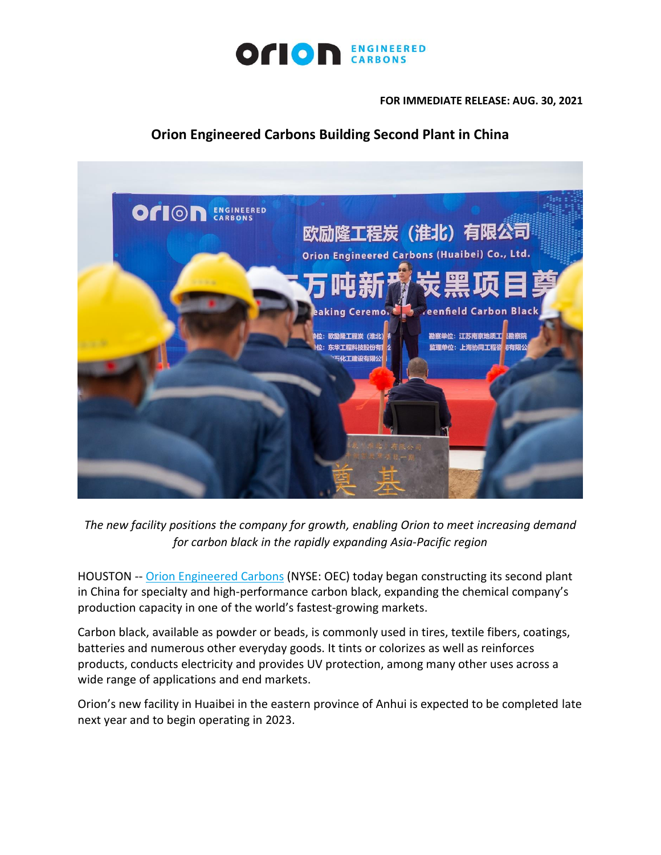

**FOR IMMEDIATE RELEASE: AUG. 30, 2021**

## **Orion Engineered Carbons Building Second Plant in China**



*The new facility positions the company for growth, enabling Orion to meet increasing demand for carbon black in the rapidly expanding Asia-Pacific region*

HOUSTON -- [Orion Engineered Carbons](https://cts.businesswire.com/ct/CT?id=smartlink&url=https%3A%2F%2Fwww.orioncarbons.com%2Findex_en.php&esheet=52477610&newsitemid=20210816005657&lan=en-US&anchor=Orion+Engineered+Carbons&index=1&md5=189a94bb525adb1afd8fb1e93f30dbe9) (NYSE: OEC) today began constructing its second plant in China for specialty and high-performance carbon black, expanding the chemical company's production capacity in one of the world's fastest-growing markets.

Carbon black, available as powder or beads, is commonly used in tires, textile fibers, coatings, batteries and numerous other everyday goods. It tints or colorizes as well as reinforces products, conducts electricity and provides UV protection, among many other uses across a wide range of applications and end markets.

Orion's new facility in Huaibei in the eastern province of Anhui is expected to be completed late next year and to begin operating in 2023.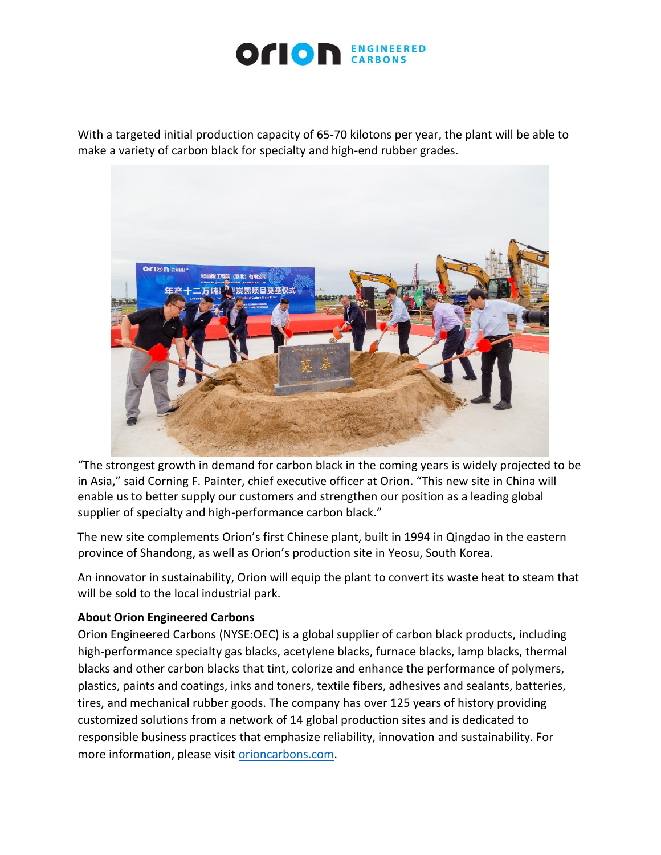

With a targeted initial production capacity of 65-70 kilotons per year, the plant will be able to make a variety of carbon black for specialty and high-end rubber grades.



"The strongest growth in demand for carbon black in the coming years is widely projected to be in Asia," said Corning F. Painter, chief executive officer at Orion. "This new site in China will enable us to better supply our customers and strengthen our position as a leading global supplier of specialty and high-performance carbon black."

The new site complements Orion's first Chinese plant, built in 1994 in Qingdao in the eastern province of Shandong, as well as Orion's production site in Yeosu, South Korea.

An innovator in sustainability, Orion will equip the plant to convert its waste heat to steam that will be sold to the local industrial park.

## **About Orion Engineered Carbons**

Orion Engineered Carbons (NYSE:OEC) is a global supplier of carbon black products, including high-performance specialty gas blacks, acetylene blacks, furnace blacks, lamp blacks, thermal blacks and other carbon blacks that tint, colorize and enhance the performance of polymers, plastics, paints and coatings, inks and toners, textile fibers, adhesives and sealants, batteries, tires, and mechanical rubber goods. The company has over 125 years of history providing customized solutions from a network of 14 global production sites and is dedicated to responsible business practices that emphasize reliability, innovation and sustainability. For more information, please visit [orioncarbons.com.](https://www.orioncarbons.com/index_en.php)